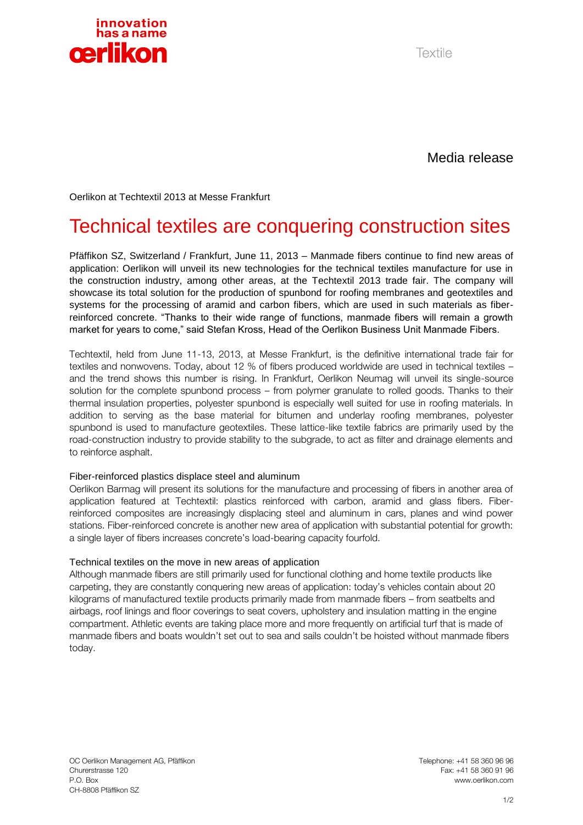

Textile

Media release

Oerlikon at Techtextil 2013 at Messe Frankfurt

# Technical textiles are conquering construction sites

Pfäffikon SZ, Switzerland / Frankfurt, June 11, 2013 – Manmade fibers continue to find new areas of application: Oerlikon will unveil its new technologies for the technical textiles manufacture for use in the construction industry, among other areas, at the Techtextil 2013 trade fair. The company will showcase its total solution for the production of spunbond for roofing membranes and geotextiles and systems for the processing of aramid and carbon fibers, which are used in such materials as fiberreinforced concrete. "Thanks to their wide range of functions, manmade fibers will remain a growth market for years to come," said Stefan Kross, Head of the Oerlikon Business Unit Manmade Fibers.

Techtextil, held from June 11-13, 2013, at Messe Frankfurt, is the definitive international trade fair for textiles and nonwovens. Today, about 12 % of fibers produced worldwide are used in technical textiles – and the trend shows this number is rising. In Frankfurt, Oerlikon Neumag will unveil its single-source solution for the complete spunbond process – from polymer granulate to rolled goods. Thanks to their thermal insulation properties, polyester spunbond is especially well suited for use in roofing materials. In addition to serving as the base material for bitumen and underlay roofing membranes, polyester spunbond is used to manufacture geotextiles. These lattice-like textile fabrics are primarily used by the road-construction industry to provide stability to the subgrade, to act as filter and drainage elements and to reinforce asphalt.

### Fiber-reinforced plastics displace steel and aluminum

Oerlikon Barmag will present its solutions for the manufacture and processing of fibers in another area of application featured at Techtextil: plastics reinforced with carbon, aramid and glass fibers. Fiberreinforced composites are increasingly displacing steel and aluminum in cars, planes and wind power stations. Fiber-reinforced concrete is another new area of application with substantial potential for growth: a single layer of fibers increases concrete's load-bearing capacity fourfold.

### Technical textiles on the move in new areas of application

Although manmade fibers are still primarily used for functional clothing and home textile products like carpeting, they are constantly conquering new areas of application: today's vehicles contain about 20 kilograms of manufactured textile products primarily made from manmade fibers – from seatbelts and airbags, roof linings and floor coverings to seat covers, upholstery and insulation matting in the engine compartment. Athletic events are taking place more and more frequently on artificial turf that is made of manmade fibers and boats wouldn't set out to sea and sails couldn't be hoisted without manmade fibers today.